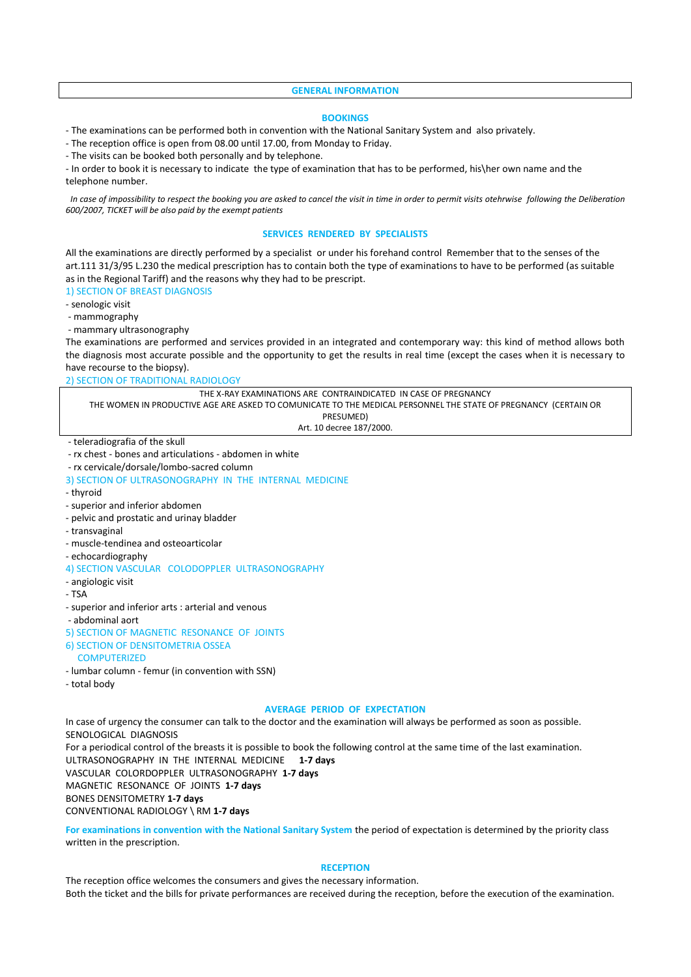#### **GENERAL INFORMATION**

#### **BOOKINGS**

- The examinations can be performed both in convention with the National Sanitary System and also privately.

- The reception office is open from 08.00 until 17.00, from Monday to Friday.

- The visits can be booked both personally and by telephone.

- In order to book it is necessary to indicate the type of examination that has to be performed, his\her own name and the telephone number.

 *In case of impossibility to respect the booking you are asked to cancel the visit in time in order to permit visits otehrwise following the Deliberation 600/2007, TICKET will be also paid by the exempt patients* 

### **SERVICES RENDERED BY SPECIALISTS**

All the examinations are directly performed by a specialist or under his forehand control Remember that to the senses of the art.111 31/3/95 L.230 the medical prescription has to contain both the type of examinations to have to be performed (as suitable as in the Regional Tariff) and the reasons why they had to be prescript.

1) SECTION OF BREAST DIAGNOSIS

- senologic visit

- mammography

- mammary ultrasonography

The examinations are performed and services provided in an integrated and contemporary way: this kind of method allows both the diagnosis most accurate possible and the opportunity to get the results in real time (except the cases when it is necessary to have recourse to the biopsy).

2) SECTION OF TRADITIONAL RADIOLOGY

| THE X-RAY EXAMINATIONS ARE CONTRAINDICATED IN CASE OF PREGNANCY                                                 |
|-----------------------------------------------------------------------------------------------------------------|
| THE WOMEN IN PRODUCTIVE AGE ARE ASKED TO COMUNICATE TO THE MEDICAL PERSONNEL THE STATE OF PREGNANCY (CERTAIN OR |
| PRESUMED)                                                                                                       |
| Art. 10 decree 187/2000.                                                                                        |

- teleradiografia of the skull

- rx chest - bones and articulations - abdomen in white

- rx cervicale/dorsale/lombo-sacred column

3) SECTION OF ULTRASONOGRAPHY IN THE INTERNAL MEDICINE

- thyroid

- superior and inferior abdomen

- pelvic and prostatic and urinay bladder

- transvaginal

- muscle-tendinea and osteoarticolar
- echocardiography

4) SECTION VASCULAR COLODOPPLER ULTRASONOGRAPHY

- angiologic visit
- TSA

- superior and inferior arts : arterial and venous

- abdominal aort

5) SECTION OF MAGNETIC RESONANCE OF JOINTS

6) SECTION OF DENSITOMETRIA OSSEA

#### **COMPUTERIZED**

- lumbar column femur (in convention with SSN)
- total body

#### **AVERAGE PERIOD OF EXPECTATION**

In case of urgency the consumer can talk to the doctor and the examination will always be performed as soon as possible. SENOLOGICAL DIAGNOSIS For a periodical control of the breasts it is possible to book the following control at the same time of the last examination. ULTRASONOGRAPHY IN THE INTERNAL MEDICINE **1-7 days** VASCULAR COLORDOPPLER ULTRASONOGRAPHY **1-7 days**  MAGNETIC RESONANCE OF JOINTS **1-7 days** BONES DENSITOMETRY **1-7 days** CONVENTIONAL RADIOLOGY \ RM **1-7 days**

**For examinations in convention with the National Sanitary System** the period of expectation is determined by the priority class

written in the prescription.

#### **RECEPTION**

The reception office welcomes the consumers and gives the necessary information. Both the ticket and the bills for private performances are received during the reception, before the execution of the examination.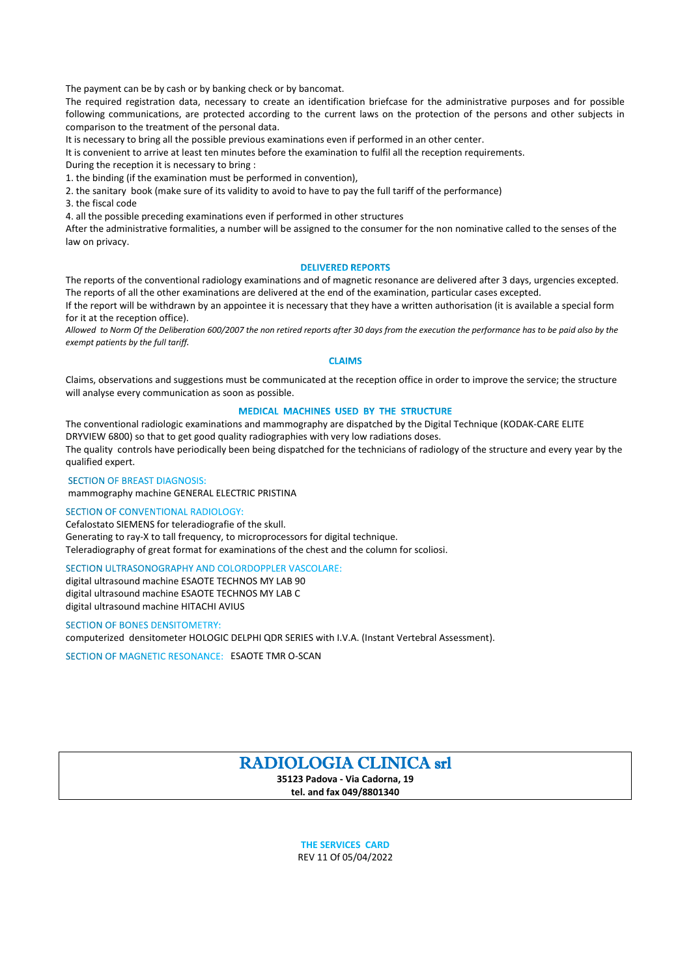The payment can be by cash or by banking check or by bancomat.

The required registration data, necessary to create an identification briefcase for the administrative purposes and for possible following communications, are protected according to the current laws on the protection of the persons and other subjects in comparison to the treatment of the personal data.

It is necessary to bring all the possible previous examinations even if performed in an other center.

It is convenient to arrive at least ten minutes before the examination to fulfil all the reception requirements.

During the reception it is necessary to bring :

1. the binding (if the examination must be performed in convention),

2. the sanitary book (make sure of its validity to avoid to have to pay the full tariff of the performance)

3. the fiscal code

4. all the possible preceding examinations even if performed in other structures

After the administrative formalities, a number will be assigned to the consumer for the non nominative called to the senses of the law on privacy.

## **DELIVERED REPORTS**

The reports of the conventional radiology examinations and of magnetic resonance are delivered after 3 days, urgencies excepted. The reports of all the other examinations are delivered at the end of the examination, particular cases excepted.

If the report will be withdrawn by an appointee it is necessary that they have a written authorisation (it is available a special form for it at the reception office).

*Allowed to Norm Of the Deliberation 600/2007 the non retired reports after 30 days from the execution the performance has to be paid also by the exempt patients by the full tariff.*

## **CLAIMS**

Claims, observations and suggestions must be communicated at the reception office in order to improve the service; the structure will analyse every communication as soon as possible.

# MEDICAL MACHINES USED BY THE STRUCTURE

The conventional radiologic examinations and mammography are dispatched by the Digital Technique (KODAK-CARE ELITE DRYVIEW 6800) so that to get good quality radiographies with very low radiations doses. The quality controls have periodically been being dispatched for the technicians of radiology of the structure and every year by the qualified expert.

# **SECTION OF BREAST DIAGNOSIS:**

mammography machine GENERAL ELECTRIC PRISTINA

# SECTION OF CONVENTIONAL RADIOLOGY:

Cefalostato SIEMENS for teleradiografie of the skull. Generating to ray-X to tall frequency, to microprocessors for digital technique. Teleradiography of great format for examinations of the chest and the column for scoliosi.

## SECTION ULTRASONOGRAPHY AND COLORDOPPLER VASCOLARE:

digital ultrasound machine ESAOTE TECHNOS MY LAB 90 digital ultrasound machine ESAOTE TECHNOS MY LAB C digital ultrasound machine HITACHI AVIUS

#### **SECTION OF BONES DENSITOMETRY:**

computerized densitometer HOLOGIC DELPHI QDR SERIES with I.V.A. (Instant Vertebral Assessment).

SECTION OF MAGNETIC RESONANCE: ESAOTE TMR O-SCAN

# RADIOLOGIA CLINICA srl

**35123 Padova - Via Cadorna, 19**

**tel. and fax 049/8801340**

**THE SERVICES CARD** REV 11 Of 05/04/2022